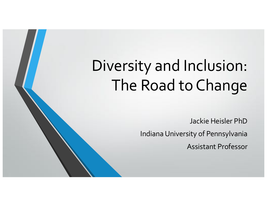# Diversity and Inclusion: The Road to Change

Jackie Heisler PhD

Indiana University of Pennsylvania

Assistant Professor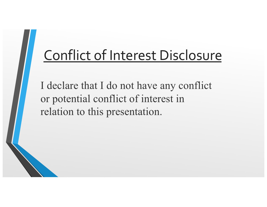# Conflict of Interest Disclosure

I declare that I do not have any conflict or potential conflict of interest in relation to this presentation.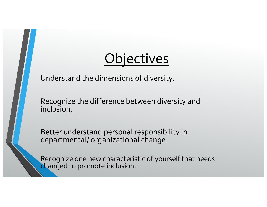# **Objectives**

Understand the dimensions of diversity.

Recognize the difference between diversity and inclusion.

Better understand personal responsibility in departmental/ organizational change.

Recognize one new characteristic of yourself that needs changed to promote inclusion.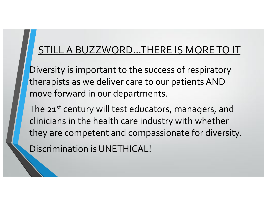# STILL A BUZZWORD…THERE IS MORE TO IT

Diversity is important to the success of respiratory therapists as we deliver care to our patients AND move forward in our departments.

The 21<sup>st</sup> century will test educators, managers, and clinicians in the health care industry with whether they are competent and compassionate for diversity.

Discrimination is UNETHICAL!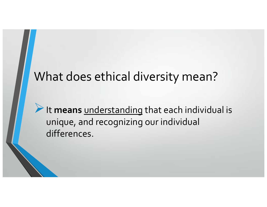# What does ethical diversity mean?

ØIt **means** understanding that each individual is unique, and recognizing our individual differences.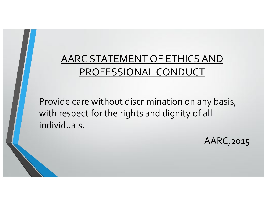# AARC STATEMENT OF ETHICS AND PROFESSIONAL CONDUCT

Provide care without discrimination on any basis, with respect for the rights and dignity of all individuals.

AARC,2015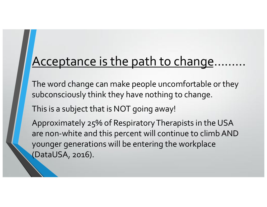# Acceptance is the path to change...

The word change can make people uncomfortable or they subconsciously think they have nothing to change.

This is a subject that is NOT going away!

Approximately 25% of Respiratory Therapists in the USA are non-white and this percent will continue to climb AND younger generations will be entering the workplace (DataUSA, 2016).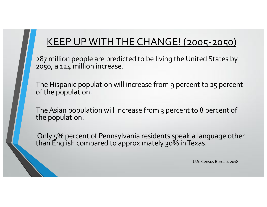# KEEP UP WITH THE CHANGE! (2005-2050)

287 million people are predicted to be living the United States by 2050, a 124 million increase.

The Hispanic population will increase from 9 percent to 25 percent of the population.

The Asian population will increase from 3 percent to 8 percent of the population.

Only 5% percent of Pennsylvania residents speak a language other than English compared to approximately 30% in Texas.

U.S. Census Bureau, 2018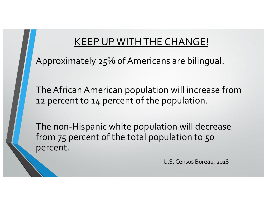# KEEP UP WITH THE CHANGE!

Approximately 25% of Americans are bilingual.

The African American population will increase from 12 percent to 14 percent of the population.

The non-Hispanic white population will decrease from 75 percent of the total population to 50 percent.

U.S. Census Bureau, 2018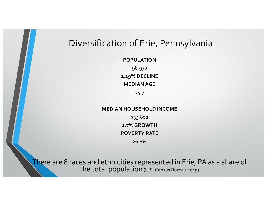#### Diversification of Erie, Pennsylvania

**POPULATION** 98,970 **1.19% DECLINE MEDIAN AGE** 34.7

#### **MEDIAN HOUSEHOLD INCOME**

\$35,802 **1.7% GROWTH POVERTY RATE** 26.8%

There are 8 races and ethnicities represented in Erie, PA as a share of<br>the total population (U.S. Census Bureau 2019)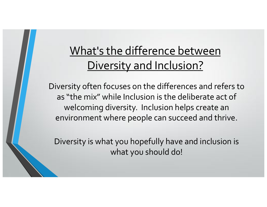# What's the difference between Diversity and Inclusion?

Diversity often focuses on the differences and refers to as "the mix" while Inclusion is the deliberate act of welcoming diversity. Inclusion helps create an environment where people can succeed and thrive.

Diversity is what you hopefully have and inclusion is what you should do!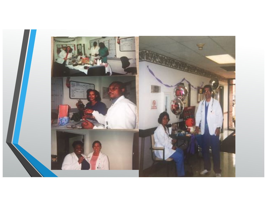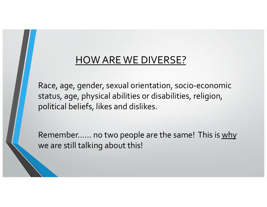#### HOW ARE WE DIVERSE?

Race, age, gender, sexual orientation, socio-economic status, age, physical abilities or disabilities, religion, political beliefs, likes and dislikes.

Remember...... no two people are the same! This is why we are still talking about this!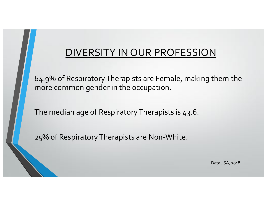## DIVERSITY IN OUR PROFESSION

64.9% of Respiratory Therapists are Female, making them the more common gender in the occupation.

The median age of Respiratory Therapists is 43.6.

25% of Respiratory Therapists are Non-White.

DataUSA, 2018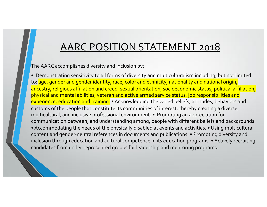### AARC POSITION STATEMENT 2018

The AARC accomplishes diversity and inclusion by:

• Demonstrating sensitivity to all forms of diversity and multiculturalism including, but not limited to: age, gender and gender identity, race, color and ethnicity, nationality and national origin, ancestry, religious affiliation and creed, sexual orientation, socioeconomic status, political affiliation, physical and mental abilities, veteran and active armed service status, job responsibilities and experience, education and training. • Acknowledging the varied beliefs, attitudes, behaviors and customs of the people that constitute its communities of interest, thereby creating a diverse, multicultural, and inclusive professional environment. • Promoting an appreciation for communication between, and understanding among, people with different beliefs and backgrounds. • Accommodating the needs of the physically disabled at events and activities. • Using multicultural content and gender-neutral references in documents and publications. • Promoting diversity and inclusion through education and cultural competence in its education programs. • Actively recruiting candidates from under-represented groups for leadership and mentoring programs.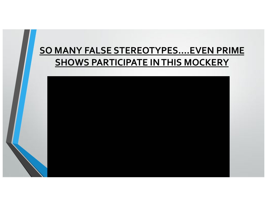### **SO MANY FALSE STEREOTYPES….EVEN PRIME SHOWS PARTICIPATE IN THIS MOCKERY**

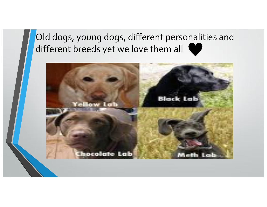#### Old dogs, young dogs, different personalities and different breeds yet we love them all

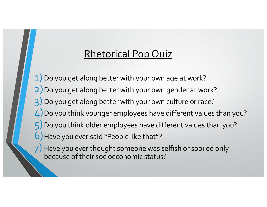# Rhetorical Pop Quiz

- 1) Do you get along better with your own age at work? 2) Do you get along better with your own gender at work? 3) Do you get along better with your own culture or race? 4)Do you think younger employees have different values than you? 5)Do you think older employees have different values than you? 6)Have you ever said "People like that"?
- 7) Have you ever thought someone was selfish or spoiled only because of their socioeconomic status?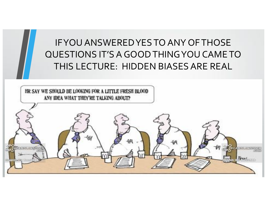

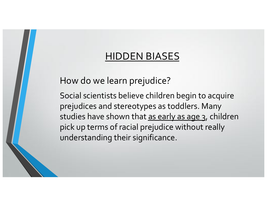# HIDDEN BIASES

How do we learn prejudice?

Social scientists believe children begin to acquire prejudices and stereotypes as toddlers. Many studies have shown that as early as age 3, children pick up terms of racial prejudice without really understanding their significance.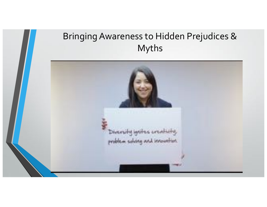#### Bringing Awareness to Hidden Prejudices & Myths

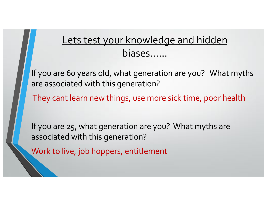# Lets test your knowledge and hidden biases……

If you are 60 years old, what generation are you? What myths are associated with this generation?

They cant learn new things, use more sick time, poor health

If you are 25, what generation are you? What myths are associated with this generation?

Work to live, job hoppers, entitlement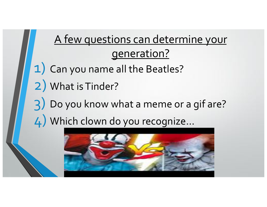# A few questions can determine your generation?

- 1) Can you name all the Beatles?
- 2) What is Tinder?
- 3) Do you know what a meme or a gif are?
- 4) Which clown do you recognize…

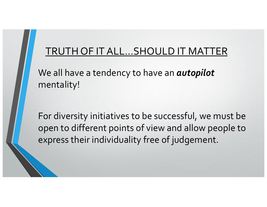# TRUTH OF IT ALL…SHOULD IT MATTER

We all have a tendency to have an *autopilot*  mentality!

For diversity initiatives to be successful, we must be open to different points of view and allow people to express their individuality free of judgement.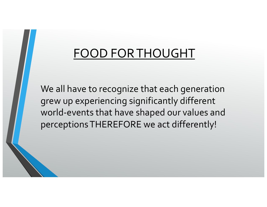# FOOD FOR THOUGHT

We all have to recognize that each generation grew up experiencing significantly different world-events that have shaped our values and perceptions THEREFORE we act differently!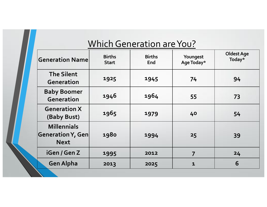#### Which Generation are You?

| <b>Generation Name</b>                                        | <b>Births</b><br><b>Start</b> | <b>Births</b><br>End | Youngest<br>Age Today* | <b>Oldest Age</b><br>Today* |
|---------------------------------------------------------------|-------------------------------|----------------------|------------------------|-----------------------------|
| <b>The Silent</b><br>Generation                               | 1925                          | 1945                 | 74                     | 94                          |
| <b>Baby Boomer</b><br>Generation                              | 1946                          | 1964                 | 55                     | 73                          |
| <b>Generation X</b><br>(Baby Bust)                            | 1965                          | 1979                 | 40                     | 54                          |
| <b>Millennials</b><br><b>Generation Y, Gen</b><br><b>Next</b> | 1980                          | 1994                 | 25                     | 39                          |
| iGen / Gen Z                                                  | 1995                          | 2012                 | 7                      | 24                          |
| <b>Gen Alpha</b>                                              | 2013                          | 2025                 | 1                      | 6                           |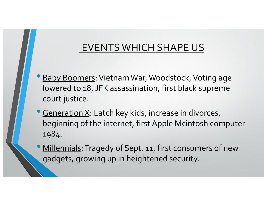# EVENTS WHICH SHAPE US

- Baby Boomers: Vietnam War, Woodstock, Voting age lowered to 18, JFK assassination, first black supreme court justice.
- Generation X: Latch key kids, increase in divorces, beginning of the internet, first Apple Mcintosh computer 1984.
- Millennials: Tragedy of Sept. 11, first consumers of new gadgets, growing up in heightened security.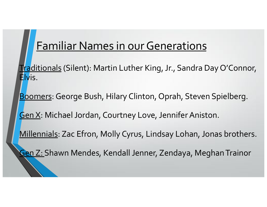# Familiar Names in our Generations

Traditionals (Silent): Martin Luther King, Jr., Sandra Day O'Connor, Elvis.

Boomers: George Bush, Hilary Clinton, Oprah, Steven Spielberg.

Gen X: Michael Jordan, Courtney Love, Jennifer Aniston.

Millennials: Zac Efron, Molly Cyrus, Lindsay Lohan, Jonas brothers.

Gen Z: Shawn Mendes, Kendall Jenner, Zendaya, Meghan Trainor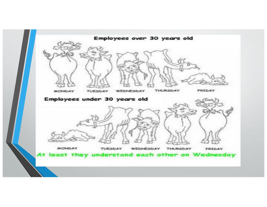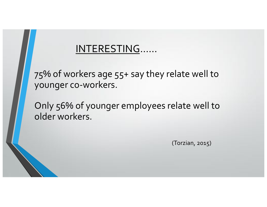#### INTERESTING……

75% of workers age 55+ say they relate well to younger co-workers.

Only 56% of younger employees relate well to older workers.

(Torzian, 2015)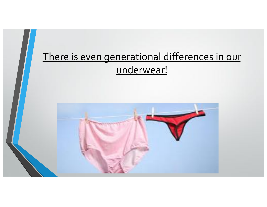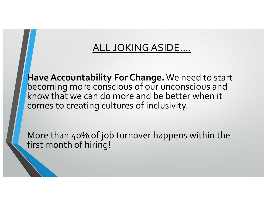### ALL JOKING ASIDE….

**Have Accountability For Change.** We need to start becoming more conscious of our unconscious and know that we can do more and be better when it comes to creating cultures of inclusivity.

More than 40% of job turnover happens within the first month of hiring!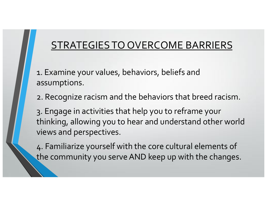# STRATEGIES TO OVERCOME BARRIERS

1. Examine your values, behaviors, beliefs and assumptions.

2. Recognize racism and the behaviors that breed racism.

3. Engage in activities that help you to reframe your thinking, allowing you to hear and understand other world views and perspectives.

4. Familiarize yourself with the core cultural elements of the community you serve AND keep up with the changes.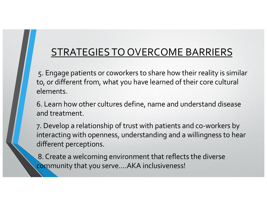# STRATEGIES TO OVERCOME BARRIERS

5. Engage patients or coworkers to share how their reality is similar to, or different from, what you have learned of their core cultural elements.

6. Learn how other cultures define, name and understand disease and treatment.

7. Develop a relationship of trust with patients and co-workers by interacting with openness, understanding and a willingness to hear different perceptions.

8. Create a welcoming environment that reflects the diverse community that you serve....AKA inclusiveness!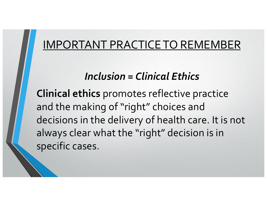# IMPORTANT PRACTICE TO REMEMBER

# *Inclusion = Clinical Ethics*

**Clinical ethics** promotes reflective practice and the making of "right" choices and decisions in the delivery of health care. It is not always clear what the "right" decision is in specific cases.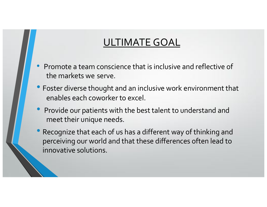# ULTIMATE GOAL

- Promote a team conscience that is inclusive and reflective of the markets we serve.
- Foster diverse thought and an inclusive work environment that enables each coworker to excel.
- Provide our patients with the best talent to understand and meet their unique needs.
- Recognize that each of us has a different way of thinking and perceiving our world and that these differences often lead to innovative solutions.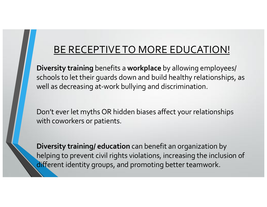# BE RECEPTIVE TO MORE EDUCATION!

**Diversity training** benefits a **workplace** by allowing employees/ schools to let their guards down and build healthy relationships, as well as decreasing at-work bullying and discrimination.

Don't ever let myths OR hidden biases affect your relationships with coworkers or patients.

**Diversity training/ education** can benefit an organization by helping to prevent civil rights violations, increasing the inclusion of different identity groups, and promoting better teamwork.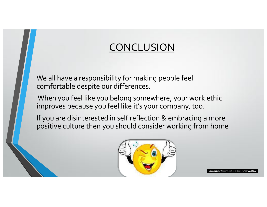# CONCLUSION

We all have a responsibility for making people feel comfortable despite our differences.

When you feel like you belong somewhere, your work ethic improves because you feel like it's your company, too.

If you are disinterested in self reflection & embracing a more positive culture then you should consider working from home



to by Unknown Author is licensed unde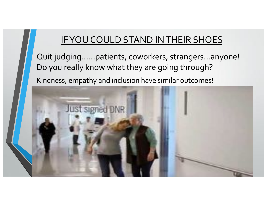#### IF YOU COULD STAND IN THEIR SHOES

Quit judging……patients, coworkers, strangers…anyone! Do you really know what they are going through? Kindness, empathy and inclusion have similar outcomes!

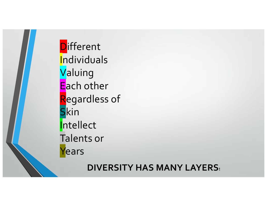**D**ifferent **Individuals** Valuing Each other Regardless of **Skin I**ntellect Talents or **Y**ears

**DIVERSITY HAS MANY LAYERS!**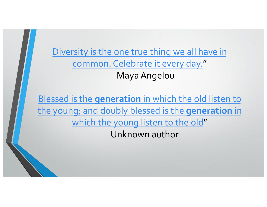[Diversity is the one true thing we all have in](http://thinkexist.com/quotation/diversity_is_the_one_true_thing_we_all_have_in/10221.html) common. Celebrate it every day." Maya Angelou

Blessed is the **generation** in which the old listen to [the young; and doubly blessed is the](http://thinkexist.com/quotation/blessed_is_the_generation_in_which_the_old_listen/165061.html) **generation** in which the young listen to the old" Unknown author